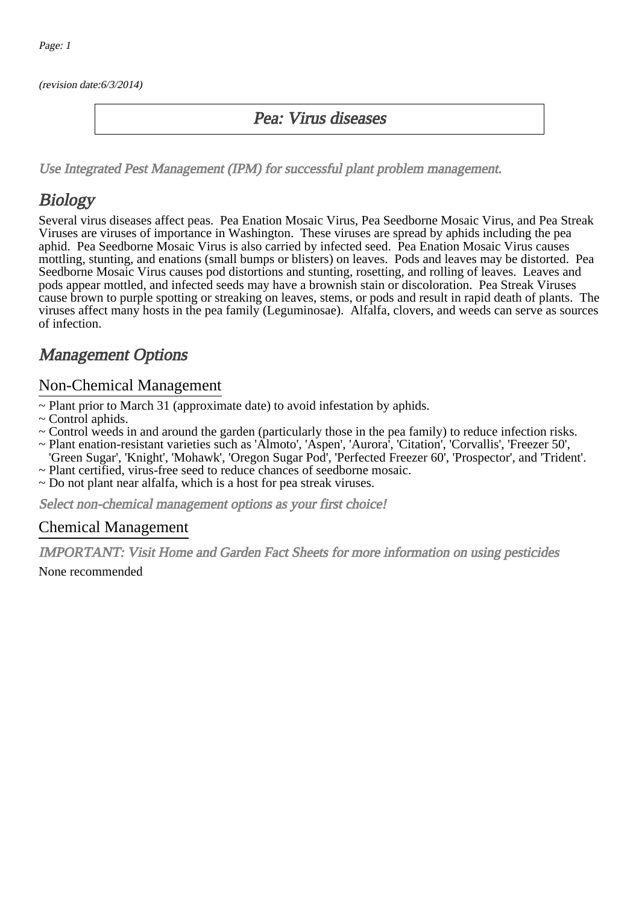(revision date:6/3/2014)

#### Pea: Virus diseases

[Use Integrated Pest Management \(IPM\) for successful plant problem management.](http://pep.wsu.edu/Home_Garden/H_G_Pesticide_info/urban_Integrated_Pest_Managmen/)

## **Biology**

Several virus diseases affect peas. Pea Enation Mosaic Virus, Pea Seedborne Mosaic Virus, and Pea Streak Viruses are viruses of importance in Washington. These viruses are spread by aphids including the pea aphid. Pea Seedborne Mosaic Virus is also carried by infected seed. Pea Enation Mosaic Virus causes mottling, stunting, and enations (small bumps or blisters) on leaves. Pods and leaves may be distorted. Pea Seedborne Mosaic Virus causes pod distortions and stunting, rosetting, and rolling of leaves. Leaves and pods appear mottled, and infected seeds may have a brownish stain or discoloration. Pea Streak Viruses cause brown to purple spotting or streaking on leaves, stems, or pods and result in rapid death of plants. The viruses affect many hosts in the pea family (Leguminosae). Alfalfa, clovers, and weeds can serve as sources of infection.

### Management Options

#### Non-Chemical Management

- ~ Plant prior to March 31 (approximate date) to avoid infestation by aphids.
- ~ Control aphids.
- ~ Control weeds in and around the garden (particularly those in the pea family) to reduce infection risks.
- ~ Plant enation-resistant varieties such as 'Almoto', 'Aspen', 'Aurora', 'Citation', 'Corvallis', 'Freezer 50',
- 'Green Sugar', 'Knight', 'Mohawk', 'Oregon Sugar Pod', 'Perfected Freezer 60', 'Prospector', and 'Trident'.
- ~ Plant certified, virus-free seed to reduce chances of seedborne mosaic.
- ~ Do not plant near alfalfa, which is a host for pea streak viruses.

Select non-chemical management options as your first choice!

#### Chemical Management

IMPORTANT: [Visit Home and Garden Fact Sheets for more information on using pesticides](http://pep.wsu.edu/Home_Garden/H_G_Pesticide_info/)

None recommended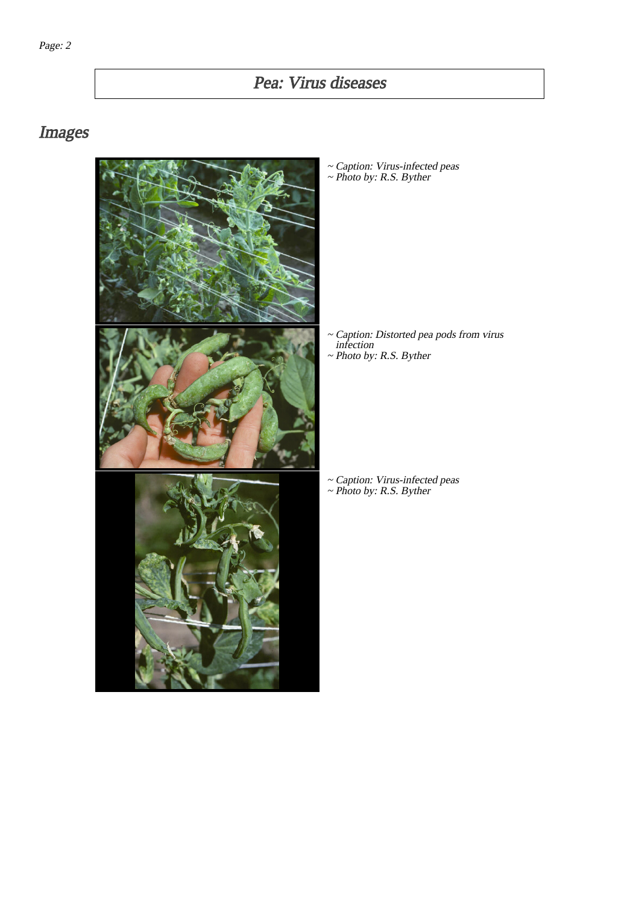# Pea: Virus diseases

## Images



~ Caption: Virus-infected peas ~ Photo by: R.S. Byther

Caption: Distorted pea pods from virus infection ~ ~ Photo by: R.S. Byther

~ Caption: Virus-infected peas ~ Photo by: R.S. Byther